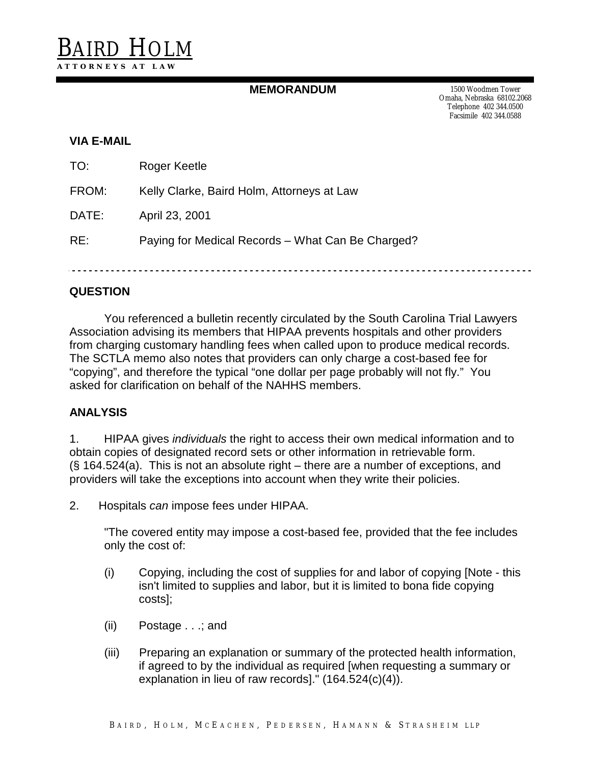## **MEMORANDUM** 1500 Woodmen Tower

Omaha, Nebraska 68102.2068 Telephone 402 344.0500 Facsimile 402 344.0588

### **VIA E-MAIL**

| TO:   | Roger Keetle                                      |
|-------|---------------------------------------------------|
| FROM: | Kelly Clarke, Baird Holm, Attorneys at Law        |
| DATE: | April 23, 2001                                    |
| RE:   | Paying for Medical Records – What Can Be Charged? |

## **QUESTION**

You referenced a bulletin recently circulated by the South Carolina Trial Lawyers Association advising its members that HIPAA prevents hospitals and other providers from charging customary handling fees when called upon to produce medical records. The SCTLA memo also notes that providers can only charge a cost-based fee for "copying", and therefore the typical "one dollar per page probably will not fly." You asked for clarification on behalf of the NAHHS members.

### **ANALYSIS**

1. HIPAA gives *individuals* the right to access their own medical information and to obtain copies of designated record sets or other information in retrievable form. (§ 164.524(a). This is not an absolute right – there are a number of exceptions, and providers will take the exceptions into account when they write their policies.

2. Hospitals can impose fees under HIPAA.

"The covered entity may impose a cost-based fee, provided that the fee includes only the cost of:

- (i) Copying, including the cost of supplies for and labor of copying [Note this isn't limited to supplies and labor, but it is limited to bona fide copying costs];
- (ii) Postage . . .; and
- (iii) Preparing an explanation or summary of the protected health information, if agreed to by the individual as required [when requesting a summary or explanation in lieu of raw records]." (164.524(c)(4)).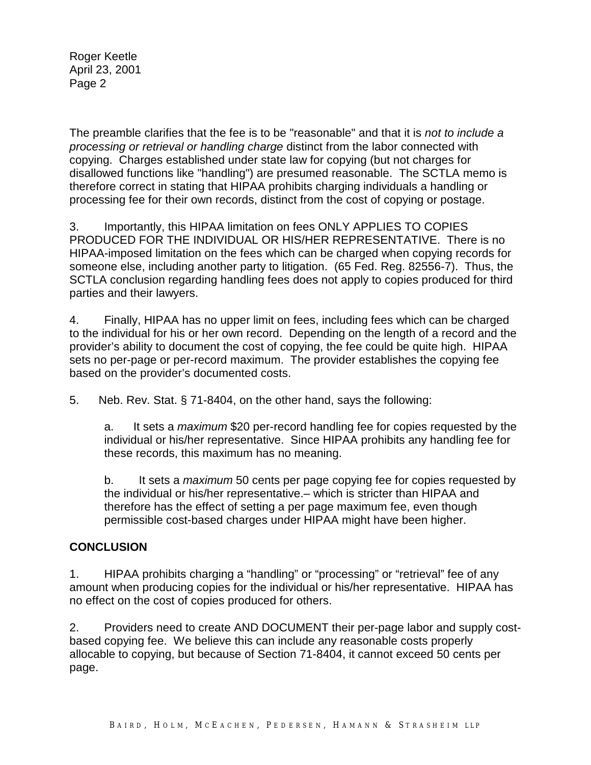Roger Keetle April 23, 2001 Page 2

The preamble clarifies that the fee is to be "reasonable" and that it is not to include a processing or retrieval or handling charge distinct from the labor connected with copying. Charges established under state law for copying (but not charges for disallowed functions like "handling") are presumed reasonable. The SCTLA memo is therefore correct in stating that HIPAA prohibits charging individuals a handling or processing fee for their own records, distinct from the cost of copying or postage.

3. Importantly, this HIPAA limitation on fees ONLY APPLIES TO COPIES PRODUCED FOR THE INDIVIDUAL OR HIS/HER REPRESENTATIVE. There is no HIPAA-imposed limitation on the fees which can be charged when copying records for someone else, including another party to litigation. (65 Fed. Reg. 82556-7). Thus, the SCTLA conclusion regarding handling fees does not apply to copies produced for third parties and their lawyers.

4. Finally, HIPAA has no upper limit on fees, including fees which can be charged to the individual for his or her own record. Depending on the length of a record and the provider's ability to document the cost of copying, the fee could be quite high. HIPAA sets no per-page or per-record maximum. The provider establishes the copying fee based on the provider's documented costs.

5. Neb. Rev. Stat. § 71-8404, on the other hand, says the following:

a. It sets a maximum \$20 per-record handling fee for copies requested by the individual or his/her representative. Since HIPAA prohibits any handling fee for these records, this maximum has no meaning.

b. It sets a *maximum* 50 cents per page copying fee for copies requested by the individual or his/her representative.– which is stricter than HIPAA and therefore has the effect of setting a per page maximum fee, even though permissible cost-based charges under HIPAA might have been higher.

# **CONCLUSION**

1. HIPAA prohibits charging a "handling" or "processing" or "retrieval" fee of any amount when producing copies for the individual or his/her representative. HIPAA has no effect on the cost of copies produced for others.

2. Providers need to create AND DOCUMENT their per-page labor and supply costbased copying fee. We believe this can include any reasonable costs properly allocable to copying, but because of Section 71-8404, it cannot exceed 50 cents per page.